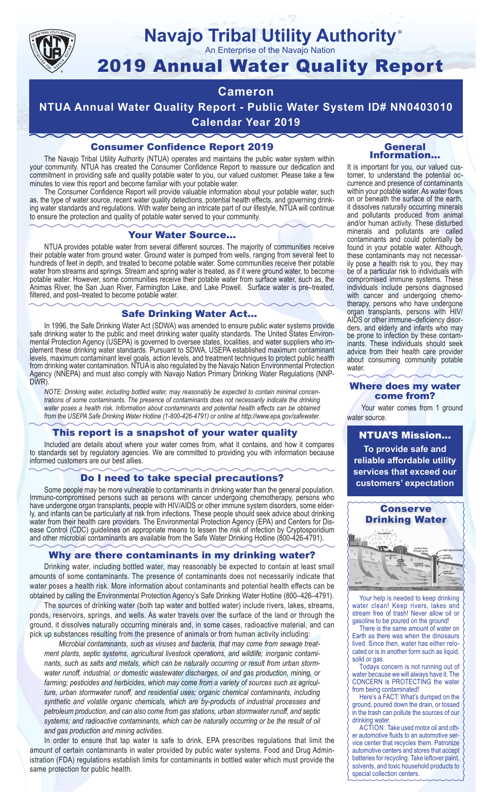

#### **Navajo Tribal Utility Authority** ®

An Enterprise of the Navajo Nation

# 2019 Annual Water Quality Report

#### **Cameron**

**NTUA Annual Water Quality Report - Public Water System ID# NN0403010 Calendar Year 2019**

#### Consumer Confidence Report 2019

The Navajo Tribal Utility Authority (NTUA) operates and maintains the public water system within your community. NTUA has created the Consumer Confidence Report to reassure our dedication and commitment in providing safe and quality potable water to you, our valued customer. Please take a few minutes to view this report and become familiar with your potable water.

The Consumer Confidence Report will provide valuable information about your potable water, such as, the type of water source, recent water quality detections, potential health effects, and governing drinking water standards and regulations. With water being an intricate part of our lifestyle, NTUA will continue to ensure the protection and quality of potable water served to your community.

#### Your Water Source…

NTUA provides potable water from several different sources. The majority of communities receive their potable water from ground water. Ground water is pumped from wells, ranging from several feet to hundreds of feet in depth, and treated to become potable water. Some communities receive their potable water from streams and springs. Stream and spring water is treated, as if it were ground water, to become potable water. However, some communities receive their potable water from surface water, such as, the Animas River, the San Juan River, Farmington Lake, and Lake Powell. Surface water is pre–treated, filtered, and post–treated to become potable water.

#### Safe Drinking Water Act…

In 1996, the Safe Drinking Water Act (SDWA) was amended to ensure public water systems provide safe drinking water to the public and meet drinking water quality standards. The United States Environmental Protection Agency (USEPA) is governed to oversee states, localities, and water suppliers who implement these drinking water standards. Pursuant to SDWA, USEPA established maximum contaminant levels, maximum contaminant level goals, action levels, and treatment techniques to protect public health from drinking water contamination. NTUA is also regulated by the Navajo Nation Environmental Protection Agency (NNEPA) and must also comply with Navajo Nation Primary Drinking Water Regulations (NNP-DWR)

*NOTE: Drinking water, including bottled water, may reasonably be expected to contain minimal concentrations of some contaminants. The presence of contaminants does not necessarily indicate the drinking water poses a health risk. Information about contaminants and potential health effects can be obtained from the USEPA Safe Drinking Water Hotline (1-800-426-4791) or online at http://www.epa.gov/safewater.*

#### This report is a snapshot of your water quality

Included are details about where your water comes from, what it contains, and how it compares to standards set by regulatory agencies. We are committed to providing you with information because informed customers are our best allies.

#### Do I need to take special precautions?

Some people may be more vulnerable to contaminants in drinking water than the general population. Immuno-compromised persons such as persons with cancer undergoing chemotherapy, persons who have undergone organ transplants, people with HIV/AIDS or other immune system disorders, some elderly, and infants can be particularly at risk from infections. These people should seek advice about drinking water from their health care providers. The Environmental Protection Agency (EPA) and Centers for Disease Control (CDC) guidelines on appropriate means to lessen the risk of infection by Cryptosporidium and other microbial contaminants are available from the Safe Water Drinking Hotline (800-426-4791).

#### Why are there contaminants in my drinking water?

Drinking water, including bottled water, may reasonably be expected to contain at least small amounts of some contaminants. The presence of contaminants does not necessarily indicate that water poses a health risk. More information about contaminants and potential health effects can be obtained by calling the Environmental Protection Agency's Safe Drinking Water Hotline (800–426–4791).

The sources of drinking water (both tap water and bottled water) include rivers, lakes, streams, ponds, reservoirs, springs, and wells. As water travels over the surface of the land or through the ground, it dissolves naturally occurring minerals and, in some cases, radioactive material, and can pick up substances resulting from the presence of animals or from human activity including:

*Microbial contaminants, such as viruses and bacteria, that may come from sewage treatment plants, septic systems, agricultural livestock operations, and wildlife; inorganic contaminants, such as salts and metals, which can be naturally occurring or result from urban stormwater runoff, industrial, or domestic wastewater discharges, oil and gas production, mining, or farming; pesticides and herbicides, which may come from a variety of sources such as agriculture, urban stormwater runoff, and residential uses; organic chemical contaminants, including synthetic and volatile organic chemicals, which are by-products of industrial processes and petroleum production, and can also come from gas stations, urban stormwater runoff, and septic systems; and radioactive contaminants, which can be naturally occurring or be the result of oil and gas production and mining activities.*

In order to ensure that tap water is safe to drink, EPA prescribes regulations that limit the amount of certain contaminants in water provided by public water systems. Food and Drug Administration (FDA) regulations establish limits for contaminants in bottled water which must provide the same protection for public health.

#### General Information…

It is important for you, our valued customer, to understand the potential occurrence and presence of contaminants within your potable water. As water flows on or beneath the surface of the earth, it dissolves naturally occurring minerals and pollutants produced from animal and/or human activity. These disturbed minerals and pollutants are called contaminants and could potentially be found in your potable water. Although, these contaminants may not necessarily pose a health risk to you, they may be of a particular risk to individuals with compromised immune systems. These individuals include persons diagnosed with cancer and undergoing chemo-<br>therapy, persons who have undergone organ transplants, persons with HIV/ AIDS or other immune–deficiency disor- ders, and elderly and infants who may be prone to infection by these contam- inants. These individuals should seek advice from their health care provider about consuming community potable water.

#### Where does my water come from?

Your water comes from 1 ground water source.

NTUA'S Mission... **To provide safe and reliable affordable utility services that exceed our customers' expectation**



Your help is needed to keep drinking water clean! Keep rivers, lakes and stream free of trash! Never allow oil or gasoline to be poured on the ground!

There is the same amount of water on Earth as there was when the dinosaurs lived. Since then, water has either relocated or is in another form such as liquid, solid or gas.

Todays concern is not running out of water because we will always have it. The CONCERN is PROTECTING the water from being contaminated!

Here's a FACT: What's dumped on the ground, poured down the drain, or tossed in the trash can pollute the sources of our drinking water.

ACTION: Take used motor oil and other automotive fluids to an automotive service center that recycles them. Patronize automotive centers and stores that accept batteries for recycling. Take leftover paint, solvents, and toxic household products to special collection centers.